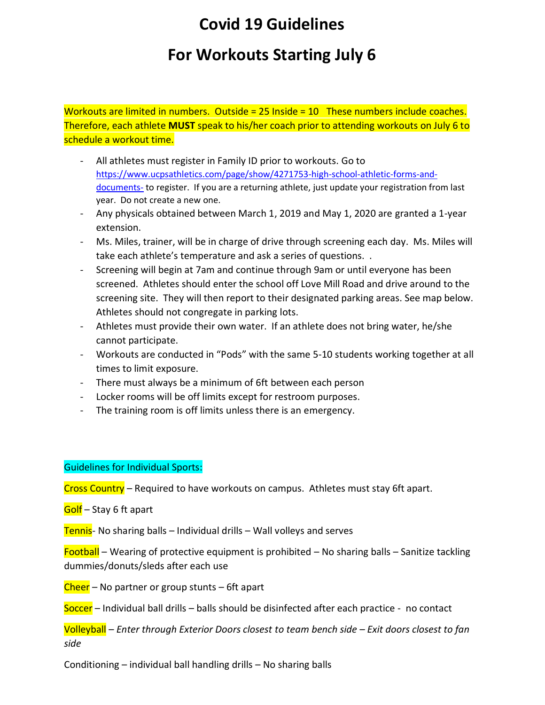## **Covid 19 Guidelines**

## **For Workouts Starting July 6**

Workouts are limited in numbers. Outside = 25 Inside = 10 These numbers include coaches. Therefore, each athlete **MUST** speak to his/her coach prior to attending workouts on July 6 to schedule a workout time.

- All athletes must register in Family ID prior to workouts. Go to [https://www.ucpsathletics.com/page/show/4271753-high-school-athletic-forms-and](https://www.ucpsathletics.com/page/show/4271753-high-school-athletic-forms-and-documents-)[documents-](https://www.ucpsathletics.com/page/show/4271753-high-school-athletic-forms-and-documents-) to register. If you are a returning athlete, just update your registration from last year. Do not create a new one.
- Any physicals obtained between March 1, 2019 and May 1, 2020 are granted a 1-year extension.
- Ms. Miles, trainer, will be in charge of drive through screening each day. Ms. Miles will take each athlete's temperature and ask a series of questions. .
- Screening will begin at 7am and continue through 9am or until everyone has been screened. Athletes should enter the school off Love Mill Road and drive around to the screening site. They will then report to their designated parking areas. See map below. Athletes should not congregate in parking lots.
- Athletes must provide their own water. If an athlete does not bring water, he/she cannot participate.
- Workouts are conducted in "Pods" with the same 5-10 students working together at all times to limit exposure.
- There must always be a minimum of 6ft between each person
- Locker rooms will be off limits except for restroom purposes.
- The training room is off limits unless there is an emergency.

## Guidelines for Individual Sports:

Cross Country – Required to have workouts on campus. Athletes must stay 6ft apart.

## Golf – Stay 6 ft apart

Tennis- No sharing balls – Individual drills – Wall volleys and serves

Football – Wearing of protective equipment is prohibited – No sharing balls – Sanitize tackling dummies/donuts/sleds after each use

Cheer – No partner or group stunts – 6ft apart

Soccer – Individual ball drills – balls should be disinfected after each practice - no contact

Volleyball – *Enter through Exterior Doors closest to team bench side – Exit doors closest to fan side*

Conditioning – individual ball handling drills – No sharing balls